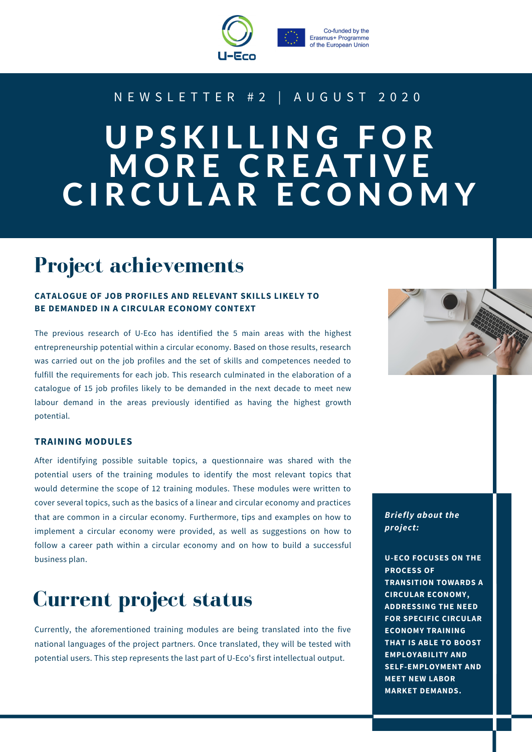



#### N E W S L E T T E R # 2 | A U G U S T 2 0 2 0

# U P S K I L L I N G F O R MORE CREATIVE CIRCULAR ECONOMY

# **Project achievements**

#### **CATALOGUE OF JOB PROFILES AND RELEVANT SKILLS LIKELY TO BE DEMANDED IN A CIRCULAR ECONOMY CONTEXT**

The previous research of U-Eco has identified the 5 main areas with the highest entrepreneurship potential within a circular economy. Based on those results, research was carried out on the job profiles and the set of skills and competences needed to fulfill the requirements for each job. This research culminated in the elaboration of a catalogue of 15 job profiles likely to be demanded in the next decade to meet new labour demand in the areas previously identified as having the highest growth potential.

#### **TRAINING MODULES**

After identifying possible suitable topics, a questionnaire was shared with the potential users of the training modules to identify the most relevant topics that would determine the scope of 12 training modules. These modules were written to cover several topics, such as the basics of a linear and circular economy and practices that are common in a circular economy. Furthermore, tips and examples on how to implement a circular economy were provided, as well as suggestions on how to follow a career path within a circular economy and on how to build a successful business plan.

### **Current project status**

Currently, the aforementioned training modules are being translated into the five national languages of the project partners. Once translated, they will be tested with potential users. This step represents the last part of U-Eco's first intellectual output.

*Briefly about the project:*

**U-ECO FOCUSES ON THE PROCESS OF TRANSITION TOWARDS A CIRCULAR ECONOMY, ADDRESSING THE NEED FOR SPECIFIC CIRCULAR ECONOMY TRAINING THAT IS ABLE TO BOOST EMPLOYABILITY AND SELF-EMPLOYMENT AND MEET NEW LABOR MARKET DEMANDS.**